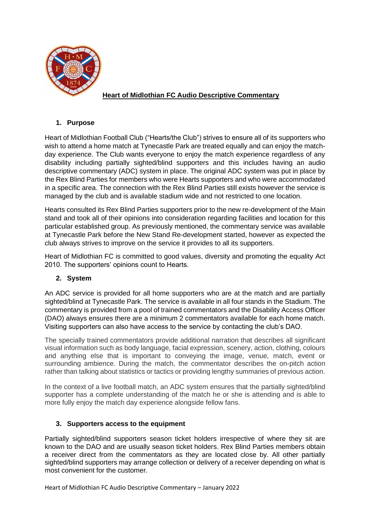

# **Heart of Midlothian FC Audio Descriptive Commentary**

## **1. Purpose**

Heart of Midlothian Football Club ("Hearts/the Club") strives to ensure all of its supporters who wish to attend a home match at Tynecastle Park are treated equally and can enjoy the matchday experience. The Club wants everyone to enjoy the match experience regardless of any disability including partially sighted/blind supporters and this includes having an audio descriptive commentary (ADC) system in place. The original ADC system was put in place by the Rex Blind Parties for members who were Hearts supporters and who were accommodated in a specific area. The connection with the Rex Blind Parties still exists however the service is managed by the club and is available stadium wide and not restricted to one location.

Hearts consulted its Rex Blind Parties supporters prior to the new re-development of the Main stand and took all of their opinions into consideration regarding facilities and location for this particular established group. As previously mentioned, the commentary service was available at Tynecastle Park before the New Stand Re-development started, however as expected the club always strives to improve on the service it provides to all its supporters.

Heart of Midlothian FC is committed to good values, diversity and promoting the equality Act 2010. The supporters' opinions count to Hearts.

## **2. System**

An ADC service is provided for all home supporters who are at the match and are partially sighted/blind at Tynecastle Park. The service is available in all four stands in the Stadium. The commentary is provided from a pool of trained commentators and the Disability Access Officer (DAO) always ensures there are a minimum 2 commentators available for each home match. Visiting supporters can also have access to the service by contacting the club's DAO.

The specially trained commentators provide additional narration that describes all significant visual information such as body language, facial expression, scenery, action, clothing, colours and anything else that is important to conveying the image, venue, match, event or surrounding ambience. During the match, the commentator describes the on-pitch action rather than talking about statistics or tactics or providing lengthy summaries of previous action.

In the context of a live football match, an ADC system ensures that the partially sighted/blind supporter has a complete understanding of the match he or she is attending and is able to more fully enjoy the match day experience alongside fellow fans.

## **3. Supporters access to the equipment**

Partially sighted/blind supporters season ticket holders irrespective of where they sit are known to the DAO and are usually season ticket holders. Rex Blind Parties members obtain a receiver direct from the commentators as they are located close by. All other partially sighted/blind supporters may arrange collection or delivery of a receiver depending on what is most convenient for the customer.